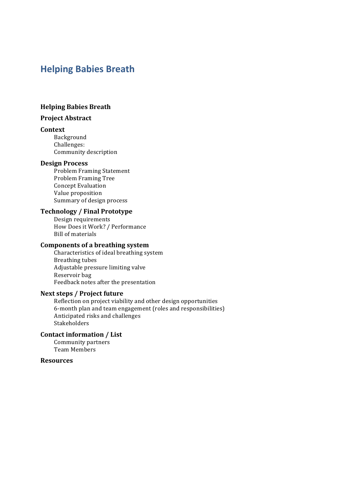# **Helping Babies Breath**

#### **Helping Babies Breath**

#### **Project Abstract**

#### **Context**

Background Challenges: Community description

#### **Design Process**

Problem Framing Statement Problem Framing Tree **Concept Evaluation** Value proposition Summary of design process

#### **Technology / Final Prototype**

Design requirements How Does it Work? / Performance **Bill of materials** 

#### **Components of a breathing system**

Characteristics of ideal breathing system Breathing tubes Adjustable pressure limiting valve Reservoir bag Feedback notes after the presentation

#### **Next steps / Project future**

Reflection on project viability and other design opportunities 6-month plan and team engagement (roles and responsibilities) Anticipated risks and challenges Stakeholders 

#### **Contact information / List**

Community partners Team Members

#### **Resources**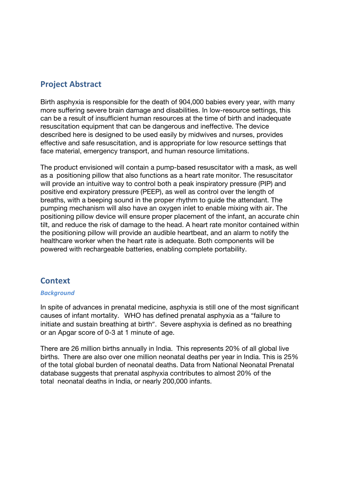## **Project Abstract**

Birth asphyxia is responsible for the death of 904,000 babies every year, with many more suffering severe brain damage and disabilities. In low-resource settings, this can be a result of insufficient human resources at the time of birth and inadequate resuscitation equipment that can be dangerous and ineffective. The device described here is designed to be used easily by midwives and nurses, provides effective and safe resuscitation, and is appropriate for low resource settings that face material, emergency transport, and human resource limitations.

The product envisioned will contain a pump-based resuscitator with a mask, as well as a positioning pillow that also functions as a heart rate monitor. The resuscitator will provide an intuitive way to control both a peak inspiratory pressure (PIP) and positive end expiratory pressure (PEEP), as well as control over the length of breaths, with a beeping sound in the proper rhythm to guide the attendant. The pumping mechanism will also have an oxygen inlet to enable mixing with air. The positioning pillow device will ensure proper placement of the infant, an accurate chin tilt, and reduce the risk of damage to the head. A heart rate monitor contained within the positioning pillow will provide an audible heartbeat, and an alarm to notify the healthcare worker when the heart rate is adequate. Both components will be powered with rechargeable batteries, enabling complete portability.

## **Context**

#### *Background*

In spite of advances in prenatal medicine, asphyxia is still one of the most significant causes of infant mortality. WHO has defined prenatal asphyxia as a "failure to initiate and sustain breathing at birth". Severe asphyxia is defined as no breathing or an Apgar score of 0-3 at 1 minute of age.

There are 26 million births annually in India. This represents 20% of all global live births. There are also over one million neonatal deaths per year in India. This is 25% of the total global burden of neonatal deaths. Data from National Neonatal Prenatal database suggests that prenatal asphyxia contributes to almost 20% of the total neonatal deaths in India, or nearly 200,000 infants.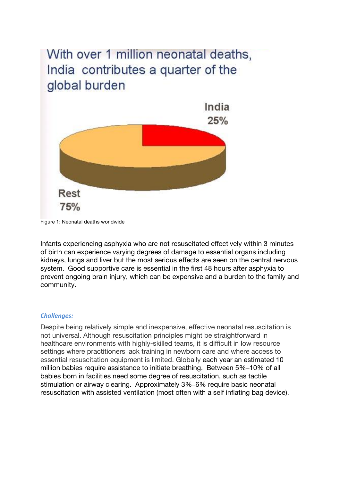# With over 1 million neonatal deaths, India contributes a quarter of the global burden



Figure 1: Neonatal deaths worldwide

Infants experiencing asphyxia who are not resuscitated effectively within 3 minutes of birth can experience varying degrees of damage to essential organs including kidneys, lungs and liver but the most serious effects are seen on the central nervous system. Good supportive care is essential in the first 48 hours after asphyxia to prevent ongoing brain injury, which can be expensive and a burden to the family and community.

#### *Challenges:*

Despite being relatively simple and inexpensive, effective neonatal resuscitation is not universal. Although resuscitation principles might be straightforward in healthcare environments with highly-skilled teams, it is difficult in low resource settings where practitioners lack training in newborn care and where access to essential resuscitation equipment is limited. Globally each year an estimated 10 million babies require assistance to initiate breathing. Between 5%–10% of all babies born in facilities need some degree of resuscitation, such as tactile stimulation or airway clearing. Approximately 3%–6% require basic neonatal resuscitation with assisted ventilation (most often with a self inflating bag device).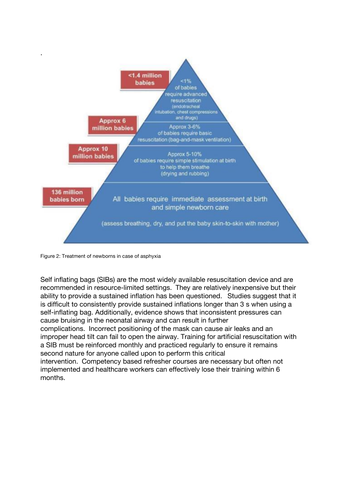

Figure 2: Treatment of newborns in case of asphyxia

Self inflating bags (SIBs) are the most widely available resuscitation device and are recommended in resource-limited settings. They are relatively inexpensive but their ability to provide a sustained inflation has been questioned. Studies suggest that it is difficult to consistently provide sustained inflations longer than 3 s when using a self-inflating bag. Additionally, evidence shows that inconsistent pressures can cause bruising in the neonatal airway and can result in further complications. Incorrect positioning of the mask can cause air leaks and an improper head tilt can fail to open the airway. Training for artificial resuscitation with a SIB must be reinforced monthly and practiced regularly to ensure it remains second nature for anyone called upon to perform this critical intervention. Competency based refresher courses are necessary but often not implemented and healthcare workers can effectively lose their training within 6 months.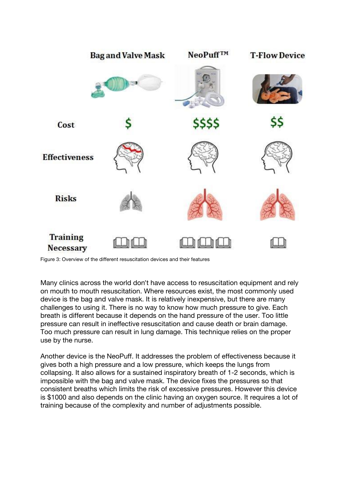

Figure 3: Overview of the different resuscitation devices and their features

Many clinics across the world don't have access to resuscitation equipment and rely on mouth to mouth resuscitation. Where resources exist, the most commonly used device is the bag and valve mask. It is relatively inexpensive, but there are many challenges to using it. There is no way to know how much pressure to give. Each breath is different because it depends on the hand pressure of the user. Too little pressure can result in ineffective resuscitation and cause death or brain damage. Too much pressure can result in lung damage. This technique relies on the proper use by the nurse.

Another device is the NeoPuff. It addresses the problem of effectiveness because it gives both a high pressure and a low pressure, which keeps the lungs from collapsing. It also allows for a sustained inspiratory breath of 1-2 seconds, which is impossible with the bag and valve mask. The device fixes the pressures so that consistent breaths which limits the risk of excessive pressures. However this device is \$1000 and also depends on the clinic having an oxygen source. It requires a lot of training because of the complexity and number of adjustments possible.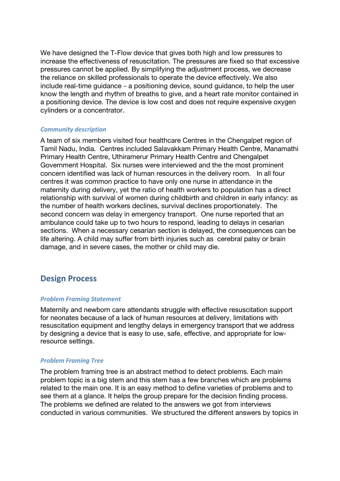We have designed the T-Flow device that gives both high and low pressures to increase the effectiveness of resuscitation. The pressures are fixed so that excessive pressures cannot be applied. By simplifying the adjustment process, we decrease the reliance on skilled professionals to operate the device effectively. We also include real-time guidance – a positioning device, sound guidance, to help the user know the length and rhythm of breaths to give, and a heart rate monitor contained in a positioning device. The device is low cost and does not require expensive oxygen cylinders or a concentrator.

#### *Community description*

A team of six members visited four healthcare Centres in the Chengalpet region of Tamil Nadu, India. Centres included Salavakkam Primary Health Centre, Manamathi Primary Health Centre, Uthiramerur Primary Health Centre and Chengalpet Government Hospital. Six nurses were interviewed and the the most prominent concern identified was lack of human resources in the delivery room. In all four centres it was common practice to have only one nurse in attendance in the maternity during delivery, yet the ratio of health workers to population has a direct relationship with survival of women during childbirth and children in early infancy: as the number of health workers declines, survival declines proportionately. The second concern was delay in emergency transport. One nurse reported that an ambulance could take up to two hours to respond, leading to delays in cesarian sections. When a necessary cesarian section is delayed, the consequences can be life altering. A child may suffer from birth injuries such as cerebral palsy or brain damage, and in severe cases, the mother or child may die.

## **Design Process**

#### *Problem Framing Statement*

Maternity and newborn care attendants struggle with effective resuscitation support for neonates because of a lack of human resources at delivery, limitations with resuscitation equipment and lengthy delays in emergency transport that we address by designing a device that is easy to use, safe, effective, and appropriate for lowresource settings.

#### *Problem Framing Tree*

The problem framing tree is an abstract method to detect problems. Each main problem topic is a big stem and this stem has a few branches which are problems related to the main one. It is an easy method to define varieties of problems and to see them at a glance. It helps the group prepare for the decision finding process. The problems we defined are related to the answers we got from interviews conducted in various communities. We structured the different answers by topics in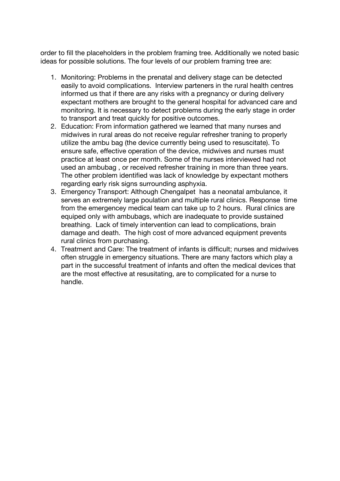order to fill the placeholders in the problem framing tree. Additionally we noted basic ideas for possible solutions. The four levels of our problem framing tree are:

- 1. Monitoring: Problems in the prenatal and delivery stage can be detected easily to avoid complications. Interview parteners in the rural health centres informed us that if there are any risks with a pregnancy or during delivery expectant mothers are brought to the general hospital for advanced care and monitoring. It is necessary to detect problems during the early stage in order to transport and treat quickly for positive outcomes.
- 2. Education: From information gathered we learned that many nurses and midwives in rural areas do not receive regular refresher traning to properly utilize the ambu bag (the device currently being used to resuscitate). To ensure safe, effective operation of the device, midwives and nurses must practice at least once per month. Some of the nurses interviewed had not used an ambubag , or received refresher training in more than three years. The other problem identified was lack of knowledge by expectant mothers regarding early risk signs surrounding asphyxia.
- 3. Emergency Transport: Although Chengalpet has a neonatal ambulance, it serves an extremely large poulation and multiple rural clinics. Response time from the emergencey medical team can take up to 2 hours. Rural clinics are equiped only with ambubags, which are inadequate to provide sustained breathing. Lack of timely intervention can lead to complications, brain damage and death. The high cost of more advanced equipment prevents rural clinics from purchasing.
- 4. Treatment and Care: The treatment of infants is difficult; nurses and midwives often struggle in emergency situations. There are many factors which play a part in the successful treatment of infants and often the medical devices that are the most effective at resusitating, are to complicated for a nurse to handle.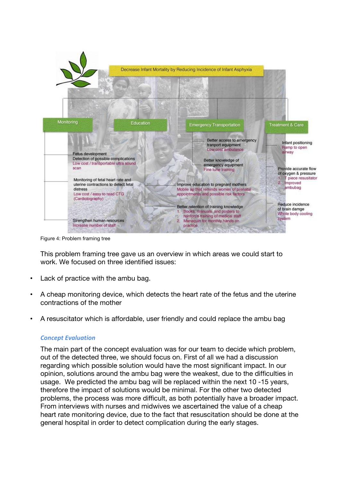

Figure 4: Problem framing tree

This problem framing tree gave us an overview in which areas we could start to work. We focused on three identified issues:

- Lack of practice with the ambu bag.
- A cheap monitoring device, which detects the heart rate of the fetus and the uterine contractions of the mother
- A resuscitator which is affordable, user friendly and could replace the ambu bag

#### *Concept Evaluation*

The main part of the concept evaluation was for our team to decide which problem, out of the detected three, we should focus on. First of all we had a discussion regarding which possible solution would have the most significant impact. In our opinion, solutions around the ambu bag were the weakest, due to the difficulties in usage. We predicted the ambu bag will be replaced within the next 10 -15 years, therefore the impact of solutions would be minimal. For the other two detected problems, the process was more difficult, as both potentially have a broader impact. From interviews with nurses and midwives we ascertained the value of a cheap heart rate monitoring device, due to the fact that resuscitation should be done at the general hospital in order to detect complication during the early stages.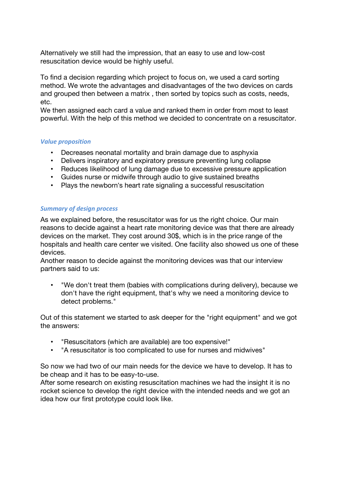Alternatively we still had the impression, that an easy to use and low-cost resuscitation device would be highly useful.

To find a decision regarding which project to focus on, we used a card sorting method. We wrote the advantages and disadvantages of the two devices on cards and grouped then between a matrix , then sorted by topics such as costs, needs, etc.

We then assigned each card a value and ranked them in order from most to least powerful. With the help of this method we decided to concentrate on a resuscitator.

#### **Value** proposition

- Decreases neonatal mortality and brain damage due to asphyxia
- Delivers inspiratory and expiratory pressure preventing lung collapse
- Reduces likelihood of lung damage due to excessive pressure application
- Guides nurse or midwife through audio to give sustained breaths
- Plays the newborn's heart rate signaling a successful resuscitation

#### **Summary of design process**

As we explained before, the resuscitator was for us the right choice. Our main reasons to decide against a heart rate monitoring device was that there are already devices on the market. They cost around 30\$, which is in the price range of the hospitals and health care center we visited. One facility also showed us one of these devices.

Another reason to decide against the monitoring devices was that our interview partners said to us:

• "We don't treat them (babies with complications during delivery), because we don't have the right equipment, that's why we need a monitoring device to detect problems."

Out of this statement we started to ask deeper for the "right equipment" and we got the answers:

- "Resuscitators (which are available) are too expensive!"
- "A resuscitator is too complicated to use for nurses and midwives"

So now we had two of our main needs for the device we have to develop. It has to be cheap and it has to be easy-to-use.

After some research on existing resuscitation machines we had the insight it is no rocket science to develop the right device with the intended needs and we got an idea how our first prototype could look like.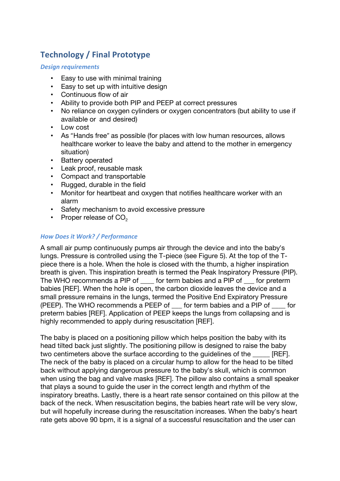# **Technology / Final Prototype**

#### *Design requirements*

- Easy to use with minimal training
- Easy to set up with intuitive design
- Continuous flow of air
- Ability to provide both PIP and PEEP at correct pressures
- No reliance on oxygen cylinders or oxygen concentrators (but ability to use if available or and desired)
- Low cost
- As "Hands free" as possible (for places with low human resources, allows healthcare worker to leave the baby and attend to the mother in emergency situation)
- Battery operated
- Leak proof, reusable mask
- Compact and transportable
- Rugged, durable in the field
- Monitor for heartbeat and oxygen that notifies healthcare worker with an alarm
- Safety mechanism to avoid excessive pressure
- Proper release of  $CO<sub>2</sub>$

#### *How Does it Work? / Performance*

A small air pump continuously pumps air through the device and into the baby's lungs. Pressure is controlled using the T-piece (see Figure 5). At the top of the Tpiece there is a hole. When the hole is closed with the thumb, a higher inspiration breath is given. This inspiration breath is termed the Peak Inspiratory Pressure (PIP). The WHO recommends a PIP of for term babies and a PIP of for preterm babies [REF]. When the hole is open, the carbon dioxide leaves the device and a small pressure remains in the lungs, termed the Positive End Expiratory Pressure (PEEP). The WHO recommends a PEEP of \_\_\_ for term babies and a PIP of \_\_\_\_ for preterm babies [REF]. Application of PEEP keeps the lungs from collapsing and is highly recommended to apply during resuscitation [REF].

The baby is placed on a positioning pillow which helps position the baby with its head tilted back just slightly. The positioning pillow is designed to raise the baby two centimeters above the surface according to the quidelines of the [REF]. The neck of the baby is placed on a circular hump to allow for the head to be tilted back without applying dangerous pressure to the baby's skull, which is common when using the bag and valve masks [REF]. The pillow also contains a small speaker that plays a sound to guide the user in the correct length and rhythm of the inspiratory breaths. Lastly, there is a heart rate sensor contained on this pillow at the back of the neck. When resuscitation begins, the babies heart rate will be very slow, but will hopefully increase during the resuscitation increases. When the baby's heart rate gets above 90 bpm, it is a signal of a successful resuscitation and the user can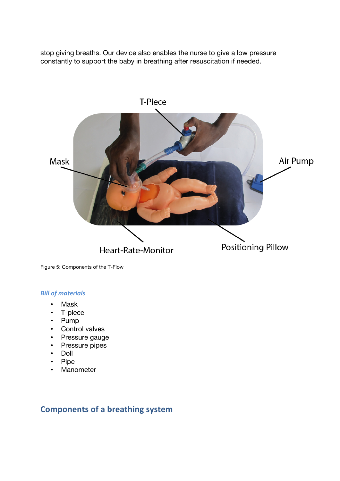stop giving breaths. Our device also enables the nurse to give a low pressure constantly to support the baby in breathing after resuscitation if needed.



Figure 5: Components of the T-Flow

#### **Bill of materials**

- Mask
- T-piece
- Pump
- Control valves
- Pressure gauge
- Pressure pipes
- Doll
- Pipe
- Manometer

### **Components of a breathing system**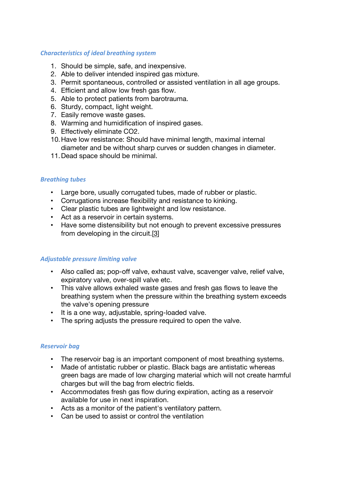#### **Characteristics of ideal breathing system**

- 1. Should be simple, safe, and inexpensive.
- 2. Able to deliver intended inspired gas mixture.
- 3. Permit spontaneous, controlled or assisted ventilation in all age groups.
- 4. Efficient and allow low fresh gas flow.
- 5. Able to protect patients from barotrauma.
- 6. Sturdy, compact, light weight.
- 7. Easily remove waste gases.
- 8. Warming and humidification of inspired gases.
- 9. Effectively eliminate CO2.
- 10.Have low resistance: Should have minimal length, maximal internal diameter and be without sharp curves or sudden changes in diameter.
- 11.Dead space should be minimal.

#### *Breathing tubes*

- Large bore, usually corrugated tubes, made of rubber or plastic.
- Corrugations increase flexibility and resistance to kinking.
- Clear plastic tubes are lightweight and low resistance.
- Act as a reservoir in certain systems.
- Have some distensibility but not enough to prevent excessive pressures from developing in the circuit.[3]

#### Adjustable pressure limiting valve

- Also called as; pop-off valve, exhaust valve, scavenger valve, relief valve, expiratory valve, over-spill valve etc.
- This valve allows exhaled waste gases and fresh gas flows to leave the breathing system when the pressure within the breathing system exceeds the valve's opening pressure
- It is a one way, adjustable, spring-loaded valve.
- The spring adjusts the pressure required to open the valve.

#### *Reservoir bag*

- The reservoir bag is an important component of most breathing systems.
- Made of antistatic rubber or plastic. Black bags are antistatic whereas green bags are made of low charging material which will not create harmful charges but will the bag from electric fields.
- Accommodates fresh gas flow during expiration, acting as a reservoir available for use in next inspiration.
- Acts as a monitor of the patient's ventilatory pattern.
- Can be used to assist or control the ventilation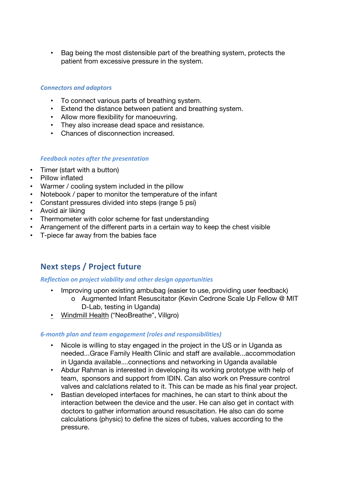• Bag being the most distensible part of the breathing system, protects the patient from excessive pressure in the system.

#### *Connectors and adaptors*

- To connect various parts of breathing system.
- Extend the distance between patient and breathing system.
- Allow more flexibility for manoeuvring.
- They also increase dead space and resistance.
- Chances of disconnection increased.

#### *Feedback notes after the presentation*

- Timer (start with a button)
- Pillow inflated
- Warmer / cooling system included in the pillow
- Notebook / paper to monitor the temperature of the infant
- Constant pressures divided into steps (range 5 psi)
- Avoid air liking
- Thermometer with color scheme for fast understanding
- Arrangement of the different parts in a certain way to keep the chest visible
- T-piece far away from the babies face

# **Next steps / Project future**

#### *Reflection on project viability and other design opportunities*

- Improving upon existing ambubag (easier to use, providing user feedback)
	- o Augmented Infant Resuscitator (Kevin Cedrone Scale Up Fellow @ MIT D-Lab, testing in Uganda)
- Windmill Health ("NeoBreathe", Villgro)

#### *6-month plan and team engagement (roles and responsibilities)*

- Nicole is willing to stay engaged in the project in the US or in Uganda as needed...Grace Family Health Clinic and staff are available...accommodation in Uganda available….connections and networking in Uganda available
- Abdur Rahman is interested in developing its working prototype with help of team, sponsors and support from IDIN. Can also work on Pressure control valves and calclations related to it. This can be made as his final year project.
- Bastian developed interfaces for machines, he can start to think about the interaction between the device and the user. He can also get in contact with doctors to gather information around resuscitation. He also can do some calculations (physic) to define the sizes of tubes, values according to the pressure.